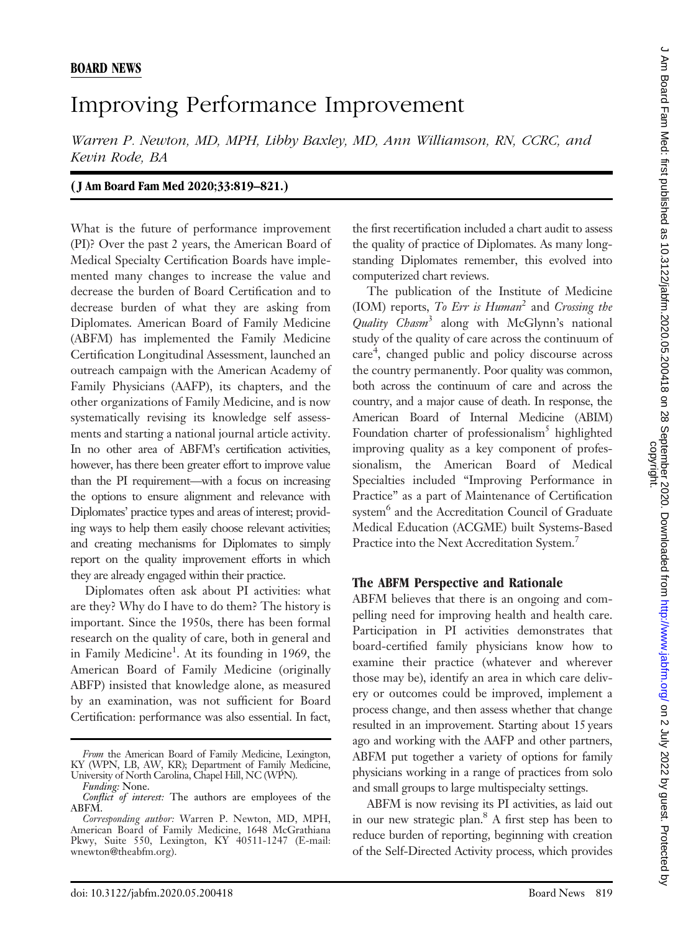# Improving Performance Improvement

Warren P. Newton, MD, MPH, Libby Baxley, MD, Ann Williamson, RN, CCRC, and Kevin Rode, BA

#### ( J Am Board Fam Med 2020;33:819–821.)

What is the future of performance improvement (PI)? Over the past 2 years, the American Board of Medical Specialty Certification Boards have implemented many changes to increase the value and decrease the burden of Board Certification and to decrease burden of what they are asking from Diplomates. American Board of Family Medicine (ABFM) has implemented the Family Medicine Certification Longitudinal Assessment, launched an outreach campaign with the American Academy of Family Physicians (AAFP), its chapters, and the other organizations of Family Medicine, and is now systematically revising its knowledge self assessments and starting a national journal article activity. In no other area of ABFM's certification activities, however, has there been greater effort to improve value than the PI requirement—with a focus on increasing the options to ensure alignment and relevance with Diplomates' practice types and areas of interest; providing ways to help them easily choose relevant activities; and creating mechanisms for Diplomates to simply report on the quality improvement efforts in which they are already engaged within their practice.

Diplomates often ask about PI activities: what are they? Why do I have to do them? The history is important. Since the 1950s, there has been formal research on the quality of care, both in general and in Family Medicine<sup>1</sup>. At its founding in 1969, the American Board of Family Medicine (originally ABFP) insisted that knowledge alone, as measured by an examination, was not sufficient for Board Certification: performance was also essential. In fact, the first recertification included a chart audit to assess the quality of practice of Diplomates. As many longstanding Diplomates remember, this evolved into computerized chart reviews.

The publication of the Institute of Medicine (IOM) reports, To Err is Human<sup>2</sup> and Crossing the Quality Chasm<sup>3</sup> along with McGlynn's national study of the quality of care across the continuum of care<sup>4</sup>, changed public and policy discourse across the country permanently. Poor quality was common, both across the continuum of care and across the country, and a major cause of death. In response, the American Board of Internal Medicine (ABIM) Foundation charter of professionalism<sup>5</sup> highlighted improving quality as a key component of professionalism, the American Board of Medical Specialties included "Improving Performance in Practice" as a part of Maintenance of Certification system<sup>6</sup> and the Accreditation Council of Graduate Medical Education (ACGME) built Systems-Based Practice into the Next Accreditation System.<sup>7</sup>

### The ABFM Perspective and Rationale

ABFM believes that there is an ongoing and compelling need for improving health and health care. Participation in PI activities demonstrates that board-certified family physicians know how to examine their practice (whatever and wherever those may be), identify an area in which care delivery or outcomes could be improved, implement a process change, and then assess whether that change resulted in an improvement. Starting about 15 years ago and working with the AAFP and other partners, ABFM put together a variety of options for family physicians working in a range of practices from solo and small groups to large multispecialty settings.

ABFM is now revising its PI activities, as laid out in our new strategic plan.<sup>8</sup> A first step has been to reduce burden of reporting, beginning with creation of the Self-Directed Activity process, which provides

From the American Board of Family Medicine, Lexington, KY (WPN, LB, AW, KR); Department of Family Medicine, University of North Carolina, Chapel Hill, NC (WPN).

Funding: None.

Conflict of interest: The authors are employees of the ABFM.

Corresponding author: Warren P. Newton, MD, MPH, American Board of Family Medicine, 1648 McGrathiana Pkwy, Suite 550, Lexington, KY 40511-1247 (E-mail: [wnewton@theabfm.org\)](mailto:wnewton@theabfm.org).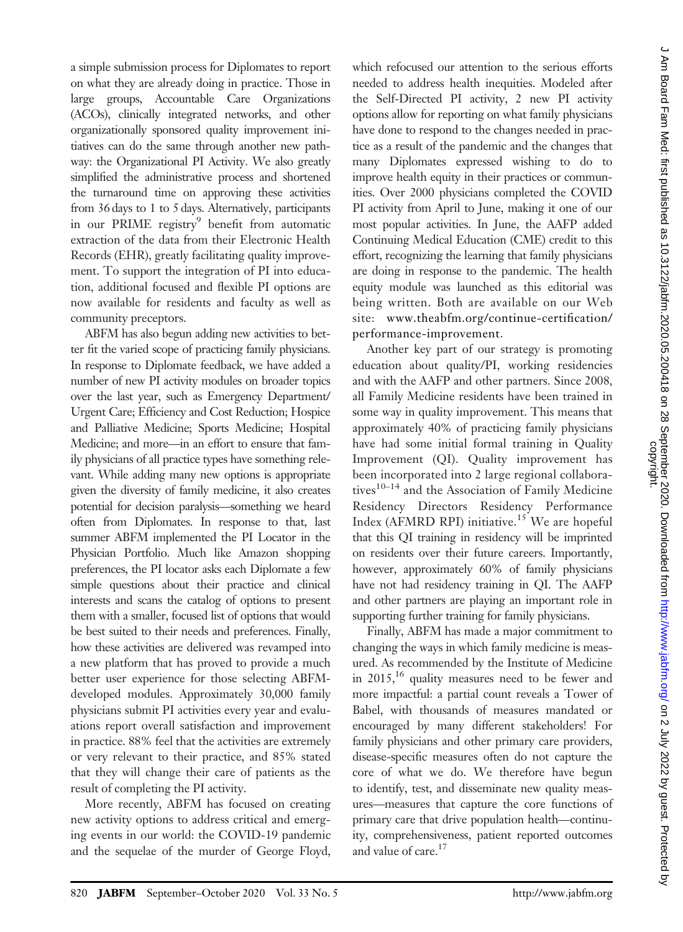a simple submission process for Diplomates to report on what they are already doing in practice. Those in large groups, Accountable Care Organizations (ACOs), clinically integrated networks, and other organizationally sponsored quality improvement initiatives can do the same through another new pathway: the Organizational PI Activity. We also greatly simplified the administrative process and shortened the turnaround time on approving these activities from 36 days to 1 to 5 days. Alternatively, participants in our PRIME registry<sup>9</sup> benefit from automatic extraction of the data from their Electronic Health Records (EHR), greatly facilitating quality improvement. To support the integration of PI into education, additional focused and flexible PI options are now available for residents and faculty as well as community preceptors.

ABFM has also begun adding new activities to better fit the varied scope of practicing family physicians. In response to Diplomate feedback, we have added a number of new PI activity modules on broader topics over the last year, such as Emergency Department/ Urgent Care; Efficiency and Cost Reduction; Hospice and Palliative Medicine; Sports Medicine; Hospital Medicine; and more—in an effort to ensure that family physicians of all practice types have something relevant. While adding many new options is appropriate given the diversity of family medicine, it also creates potential for decision paralysis—something we heard often from Diplomates. In response to that, last summer ABFM implemented the PI Locator in the Physician Portfolio. Much like Amazon shopping preferences, the PI locator asks each Diplomate a few simple questions about their practice and clinical interests and scans the catalog of options to present them with a smaller, focused list of options that would be best suited to their needs and preferences. Finally, how these activities are delivered was revamped into a new platform that has proved to provide a much better user experience for those selecting ABFMdeveloped modules. Approximately 30,000 family physicians submit PI activities every year and evaluations report overall satisfaction and improvement in practice. 88% feel that the activities are extremely or very relevant to their practice, and 85% stated that they will change their care of patients as the result of completing the PI activity.

More recently, ABFM has focused on creating new activity options to address critical and emerging events in our world: the COVID-19 pandemic and the sequelae of the murder of George Floyd,

which refocused our attention to the serious efforts needed to address health inequities. Modeled after the Self-Directed PI activity, 2 new PI activity options allow for reporting on what family physicians have done to respond to the changes needed in practice as a result of the pandemic and the changes that many Diplomates expressed wishing to do to improve health equity in their practices or communities. Over 2000 physicians completed the COVID PI activity from April to June, making it one of our most popular activities. In June, the AAFP added Continuing Medical Education (CME) credit to this effort, recognizing the learning that family physicians are doing in response to the pandemic. The health equity module was launched as this editorial was being written. Both are available on our Web site: [www.theabfm.org/continue-certi](http://www.theabfm.org/continue-certification/performance-improvement)fication/ [performance-improvement](http://www.theabfm.org/continue-certification/performance-improvement).

Another key part of our strategy is promoting education about quality/PI, working residencies and with the AAFP and other partners. Since 2008, all Family Medicine residents have been trained in some way in quality improvement. This means that approximately 40% of practicing family physicians have had some initial formal training in Quality Improvement (QI). Quality improvement has been incorporated into 2 large regional collaboratives $10-14$  and the Association of Family Medicine Residency Directors Residency Performance Index (AFMRD RPI) initiative.<sup>15</sup> We are hopeful that this QI training in residency will be imprinted on residents over their future careers. Importantly, however, approximately 60% of family physicians have not had residency training in QI. The AAFP and other partners are playing an important role in supporting further training for family physicians.

Finally, ABFM has made a major commitment to changing the ways in which family medicine is measured. As recommended by the Institute of Medicine in  $2015$ ,<sup>16</sup> quality measures need to be fewer and more impactful: a partial count reveals a Tower of Babel, with thousands of measures mandated or encouraged by many different stakeholders! For family physicians and other primary care providers, disease-specific measures often do not capture the core of what we do. We therefore have begun to identify, test, and disseminate new quality measures—measures that capture the core functions of primary care that drive population health—continuity, comprehensiveness, patient reported outcomes and value of care.<sup>17</sup>